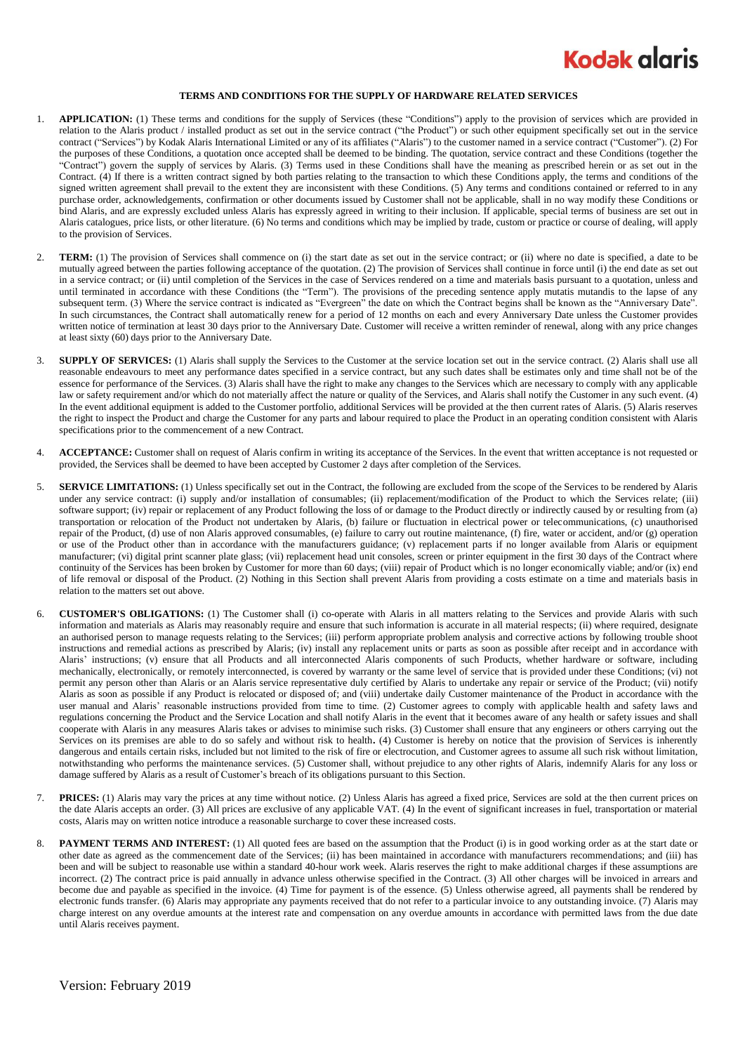

## **TERMS AND CONDITIONS FOR THE SUPPLY OF HARDWARE RELATED SERVICES**

- 1. **APPLICATION:** (1) These terms and conditions for the supply of Services (these "Conditions") apply to the provision of services which are provided in relation to the Alaris product / installed product as set out in the service contract ("the Product") or such other equipment specifically set out in the service contract ("Services") by Kodak Alaris International Limited or any of its affiliates ("Alaris") to the customer named in a service contract ("Customer"). (2) For the purposes of these Conditions, a quotation once accepted shall be deemed to be binding. The quotation, service contract and these Conditions (together the "Contract") govern the supply of services by Alaris. (3) Terms used in these Conditions shall have the meaning as prescribed herein or as set out in the Contract. (4) If there is a written contract signed by both parties relating to the transaction to which these Conditions apply, the terms and conditions of the signed written agreement shall prevail to the extent they are inconsistent with these Conditions. (5) Any terms and conditions contained or referred to in any purchase order, acknowledgements, confirmation or other documents issued by Customer shall not be applicable, shall in no way modify these Conditions or bind Alaris, and are expressly excluded unless Alaris has expressly agreed in writing to their inclusion. If applicable, special terms of business are set out in Alaris catalogues, price lists, or other literature. (6) No terms and conditions which may be implied by trade, custom or practice or course of dealing, will apply to the provision of Services.
- 2. **TERM:** (1) The provision of Services shall commence on (i) the start date as set out in the service contract; or (ii) where no date is specified, a date to be mutually agreed between the parties following acceptance of the quotation. (2) The provision of Services shall continue in force until (i) the end date as set out in a service contract; or (ii) until completion of the Services in the case of Services rendered on a time and materials basis pursuant to a quotation, unless and until terminated in accordance with these Conditions (the "Term"). The provisions of the preceding sentence apply mutatis mutandis to the lapse of any subsequent term. (3) Where the service contract is indicated as "Evergreen" the date on which the Contract begins shall be known as the "Anniversary Date". In such circumstances, the Contract shall automatically renew for a period of 12 months on each and every Anniversary Date unless the Customer provides written notice of termination at least 30 days prior to the Anniversary Date. Customer will receive a written reminder of renewal, along with any price changes at least sixty (60) days prior to the Anniversary Date.
- 3. **SUPPLY OF SERVICES:** (1) Alaris shall supply the Services to the Customer at the service location set out in the service contract. (2) Alaris shall use all reasonable endeavours to meet any performance dates specified in a service contract, but any such dates shall be estimates only and time shall not be of the essence for performance of the Services. (3) Alaris shall have the right to make any changes to the Services which are necessary to comply with any applicable law or safety requirement and/or which do not materially affect the nature or quality of the Services, and Alaris shall notify the Customer in any such event. (4) In the event additional equipment is added to the Customer portfolio, additional Services will be provided at the then current rates of Alaris. (5) Alaris reserves the right to inspect the Product and charge the Customer for any parts and labour required to place the Product in an operating condition consistent with Alaris specifications prior to the commencement of a new Contract.
- ACCEPTANCE: Customer shall on request of Alaris confirm in writing its acceptance of the Services. In the event that written acceptance is not requested or provided, the Services shall be deemed to have been accepted by Customer 2 days after completion of the Services.
- 5. **SERVICE LIMITATIONS:** (1) Unless specifically set out in the Contract, the following are excluded from the scope of the Services to be rendered by Alaris under any service contract: (i) supply and/or installation of consumables; (ii) replacement/modification of the Product to which the Services relate; (iii) software support; (iv) repair or replacement of any Product following the loss of or damage to the Product directly or indirectly caused by or resulting from (a) transportation or relocation of the Product not undertaken by Alaris, (b) failure or fluctuation in electrical power or telecommunications, (c) unauthorised repair of the Product, (d) use of non Alaris approved consumables, (e) failure to carry out routine maintenance, (f) fire, water or accident, and/or (g) operation or use of the Product other than in accordance with the manufacturers guidance; (v) replacement parts if no longer available from Alaris or equipment manufacturer; (vi) digital print scanner plate glass; (vii) replacement head unit consoles, screen or printer equipment in the first 30 days of the Contract where continuity of the Services has been broken by Customer for more than 60 days; (viii) repair of Product which is no longer economically viable; and/or (ix) end of life removal or disposal of the Product. (2) Nothing in this Section shall prevent Alaris from providing a costs estimate on a time and materials basis in relation to the matters set out above.
- <span id="page-0-0"></span>6. **CUSTOMER'S OBLIGATIONS:** (1) The Customer shall (i) co-operate with Alaris in all matters relating to the Services and provide Alaris with such information and materials as Alaris may reasonably require and ensure that such information is accurate in all material respects; (ii) where required, designate an authorised person to manage requests relating to the Services; (iii) perform appropriate problem analysis and corrective actions by following trouble shoot instructions and remedial actions as prescribed by Alaris; (iv) install any replacement units or parts as soon as possible after receipt and in accordance with Alaris' instructions; (v) ensure that all Products and all interconnected Alaris components of such Products, whether hardware or software, including mechanically, electronically, or remotely interconnected, is covered by warranty or the same level of service that is provided under these Conditions; (vi) not permit any person other than Alaris or an Alaris service representative duly certified by Alaris to undertake any repair or service of the Product; (vii) notify Alaris as soon as possible if any Product is relocated or disposed of; and (viii) undertake daily Customer maintenance of the Product in accordance with the user manual and Alaris' reasonable instructions provided from time to time. (2) Customer agrees to comply with applicable health and safety laws and regulations concerning the Product and the Service Location and shall notify Alaris in the event that it becomes aware of any health or safety issues and shall cooperate with Alaris in any measures Alaris takes or advises to minimise such risks. (3) Customer shall ensure that any engineers or others carrying out the Services on its premises are able to do so safely and without risk to health**.** (4) Customer is hereby on notice that the provision of Services is inherently dangerous and entails certain risks, included but not limited to the risk of fire or electrocution, and Customer agrees to assume all such risk without limitation, notwithstanding who performs the maintenance services. (5) Customer shall, without prejudice to any other rights of Alaris, indemnify Alaris for any loss or damage suffered by Alaris as a result of Customer's breach of its obligations pursuant to this Section.
- 7. **PRICES:** (1) Alaris may vary the prices at any time without notice. (2) Unless Alaris has agreed a fixed price, Services are sold at the then current prices on the date Alaris accepts an order. (3) All prices are exclusive of any applicable VAT. (4) In the event of significant increases in fuel, transportation or material costs, Alaris may on written notice introduce a reasonable surcharge to cover these increased costs.
- 8. **PAYMENT TERMS AND INTEREST:** (1) All quoted fees are based on the assumption that the Product (i) is in good working order as at the start date or other date as agreed as the commencement date of the Services; (ii) has been maintained in accordance with manufacturers recommendations; and (iii) has been and will be subject to reasonable use within a standard 40-hour work week. Alaris reserves the right to make additional charges if these assumptions are incorrect. (2) The contract price is paid annually in advance unless otherwise specified in the Contract. (3) All other charges will be invoiced in arrears and become due and payable as specified in the invoice. (4) Time for payment is of the essence. (5) Unless otherwise agreed, all payments shall be rendered by electronic funds transfer. (6) Alaris may appropriate any payments received that do not refer to a particular invoice to any outstanding invoice. (7) Alaris may charge interest on any overdue amounts at the interest rate and compensation on any overdue amounts in accordance with permitted laws from the due date until Alaris receives payment.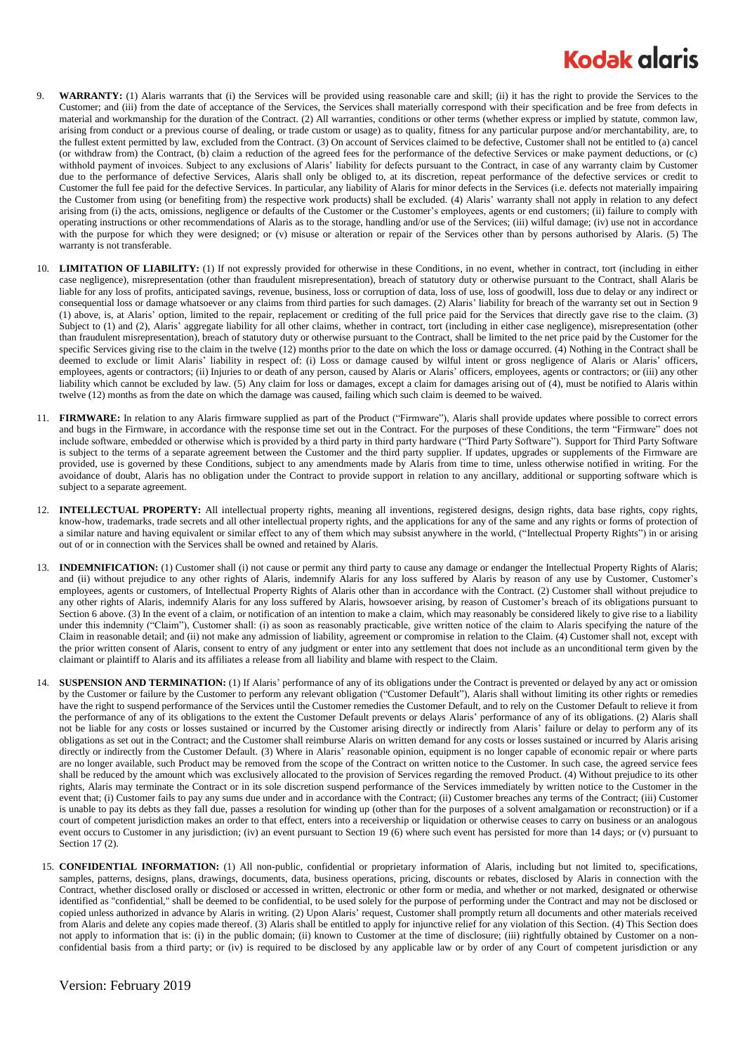## **Kodak glaris**

- 9. **WARRANTY:** (1) Alaris warrants that (i) the Services will be provided using reasonable care and skill; (ii) it has the right to provide the Services to the Customer; and (iii) from the date of acceptance of the Services, the Services shall materially correspond with their specification and be free from defects in material and workmanship for the duration of the Contract. (2) All warranties, conditions or other terms (whether express or implied by statute, common law, arising from conduct or a previous course of dealing, or trade custom or usage) as to quality, fitness for any particular purpose and/or merchantability, are, to the fullest extent permitted by law, excluded from the Contract. (3) On account of Services claimed to be defective, Customer shall not be entitled to (a) cancel (or withdraw from) the Contract, (b) claim a reduction of the agreed fees for the performance of the defective Services or make payment deductions, or (c) withhold payment of invoices. Subject to any exclusions of Alaris' liability for defects pursuant to the Contract, in case of any warranty claim by Customer due to the performance of defective Services, Alaris shall only be obliged to, at its discretion, repeat performance of the defective services or credit to Customer the full fee paid for the defective Services. In particular, any liability of Alaris for minor defects in the Services (i.e. defects not materially impairing the Customer from using (or benefiting from) the respective work products) shall be excluded. (4) Alaris' warranty shall not apply in relation to any defect arising from (i) the acts, omissions, negligence or defaults of the Customer or the Customer's employees, agents or end customers; (ii) failure to comply with operating instructions or other recommendations of Alaris as to the storage, handling and/or use of the Services; (iii) wilful damage; (iv) use not in accordance with the purpose for which they were designed; or (v) misuse or alteration or repair of the Services other than by persons authorised by Alaris. (5) The warranty is not transferable.
- 10. **LIMITATION OF LIABILITY:** (1) If not expressly provided for otherwise in these Conditions, in no event, whether in contract, tort (including in either case negligence), misrepresentation (other than fraudulent misrepresentation), breach of statutory duty or otherwise pursuant to the Contract, shall Alaris be liable for any loss of profits, anticipated savings, revenue, business, loss or corruption of data, loss of use, loss of goodwill, loss due to delay or any indirect or consequential loss or damage whatsoever or any claims from third parties for such damages. (2) Alaris' liability for breach of the warranty set out in Section 9 (1) above, is, at Alaris' option, limited to the repair, replacement or crediting of the full price paid for the Services that directly gave rise to the claim. (3) Subject to (1) and (2), Alaris' aggregate liability for all other claims, whether in contract, tort (including in either case negligence), misrepresentation (other than fraudulent misrepresentation), breach of statutory duty or otherwise pursuant to the Contract, shall be limited to the net price paid by the Customer for the specific Services giving rise to the claim in the twelve (12) months prior to the date on which the loss or damage occurred. (4) Nothing in the Contract shall be deemed to exclude or limit Alaris' liability in respect of: (i) Loss or damage caused by wilful intent or gross negligence of Alaris or Alaris' officers, employees, agents or contractors; (ii) Injuries to or death of any person, caused by Alaris or Alaris' officers, employees, agents or contractors; or (iii) any other liability which cannot be excluded by law. (5) Any claim for loss or damages, except a claim for damages arising out of (4), must be notified to Alaris within twelve (12) months as from the date on which the damage was caused, failing which such claim is deemed to be waived.
- 11. **FIRMWARE:** In relation to any Alaris firmware supplied as part of the Product ("Firmware"), Alaris shall provide updates where possible to correct errors and bugs in the Firmware, in accordance with the response time set out in the Contract. For the purposes of these Conditions, the term "Firmware" does not include software, embedded or otherwise which is provided by a third party in third party hardware ("Third Party Software"). Support for Third Party Software is subject to the terms of a separate agreement between the Customer and the third party supplier. If updates, upgrades or supplements of the Firmware are provided, use is governed by these Conditions, subject to any amendments made by Alaris from time to time, unless otherwise notified in writing. For the avoidance of doubt, Alaris has no obligation under the Contract to provide support in relation to any ancillary, additional or supporting software which is subject to a separate agreement.
- 12. **INTELLECTUAL PROPERTY:** All intellectual property rights, meaning all inventions, registered designs, design rights, data base rights, copy rights, know-how, trademarks, trade secrets and all other intellectual property rights, and the applications for any of the same and any rights or forms of protection of a similar nature and having equivalent or similar effect to any of them which may subsist anywhere in the world, ("Intellectual Property Rights") in or arising out of or in connection with the Services shall be owned and retained by Alaris.
- 13. **INDEMNIFICATION:** (1) Customer shall (i) not cause or permit any third party to cause any damage or endanger the Intellectual Property Rights of Alaris; and (ii) without prejudice to any other rights of Alaris, indemnify Alaris for any loss suffered by Alaris by reason of any use by Customer, Customer's employees, agents or customers, of Intellectual Property Rights of Alaris other than in accordance with the Contract. (2) Customer shall without prejudice to any other rights of Alaris, indemnify Alaris for any loss suffered by Alaris, howsoever arising, by reason of Customer's breach of its obligations pursuant to Sectio[n 6](#page-0-0) above. (3) In the event of a claim, or notification of an intention to make a claim, which may reasonably be considered likely to give rise to a liability under this indemnity ("Claim"), Customer shall: (i) as soon as reasonably practicable, give written notice of the claim to Alaris specifying the nature of the Claim in reasonable detail; and (ii) not make any admission of liability, agreement or compromise in relation to the Claim. (4) Customer shall not, except with the prior written consent of Alaris, consent to entry of any judgment or enter into any settlement that does not include as an unconditional term given by the claimant or plaintiff to Alaris and its affiliates a release from all liability and blame with respect to the Claim.
- 14. **SUSPENSION AND TERMINATION:** (1) If Alaris' performance of any of its obligations under the Contract is prevented or delayed by any act or omission by the Customer or failure by the Customer to perform any relevant obligation ("Customer Default"), Alaris shall without limiting its other rights or remedies have the right to suspend performance of the Services until the Customer remedies the Customer Default, and to rely on the Customer Default to relieve it from the performance of any of its obligations to the extent the Customer Default prevents or delays Alaris' performance of any of its obligations. (2) Alaris shall not be liable for any costs or losses sustained or incurred by the Customer arising directly or indirectly from Alaris' failure or delay to perform any of its obligations as set out in the Contract; and the Customer shall reimburse Alaris on written demand for any costs or losses sustained or incurred by Alaris arising directly or indirectly from the Customer Default. (3) Where in Alaris' reasonable opinion, equipment is no longer capable of economic repair or where parts are no longer available, such Product may be removed from the scope of the Contract on written notice to the Customer. In such case, the agreed service fees shall be reduced by the amount which was exclusively allocated to the provision of Services regarding the removed Product. (4) Without prejudice to its other rights, Alaris may terminate the Contract or in its sole discretion suspend performance of the Services immediately by written notice to the Customer in the event that; (i) Customer fails to pay any sums due under and in accordance with the Contract; (ii) Customer breaches any terms of the Contract; (iii) Customer is unable to pay its debts as they fall due, passes a resolution for winding up (other than for the purposes of a solvent amalgamation or reconstruction) or if a court of competent jurisdiction makes an order to that effect, enters into a receivership or liquidation or otherwise ceases to carry on business or an analogous event occurs to Customer in any jurisdiction; (iv) an event pursuant to Section 19 (6) where such event has persisted for more than 14 days; or (v) pursuant to Sectio[n 17](#page-2-0) (2).
- 15. **CONFIDENTIAL INFORMATION:** (1) All non-public, confidential or proprietary information of Alaris, including but not limited to, specifications, samples, patterns, designs, plans, drawings, documents, data, business operations, pricing, discounts or rebates, disclosed by Alaris in connection with the Contract, whether disclosed orally or disclosed or accessed in written, electronic or other form or media, and whether or not marked, designated or otherwise identified as "confidential," shall be deemed to be confidential, to be used solely for the purpose of performing under the Contract and may not be disclosed or copied unless authorized in advance by Alaris in writing. (2) Upon Alaris' request, Customer shall promptly return all documents and other materials received from Alaris and delete any copies made thereof. (3) Alaris shall be entitled to apply for injunctive relief for any violation of this Section. (4) This Section does not apply to information that is: (i) in the public domain; (ii) known to Customer at the time of disclosure; (iii) rightfully obtained by Customer on a nonconfidential basis from a third party; or (iv) is required to be disclosed by any applicable law or by order of any Court of competent jurisdiction or any